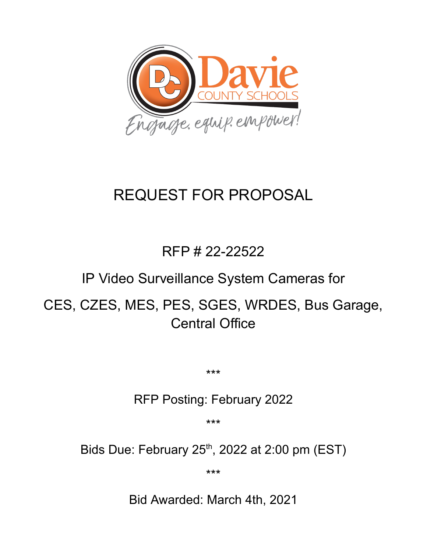

# REQUEST FOR PROPOSAL

## RFP # 22-22522

### IP Video Surveillance System Cameras for

## CES, CZES, MES, PES, SGES, WRDES, Bus Garage, Central Office

\*\*\*

### RFP Posting: February 2022

\*\*\*

Bids Due: February  $25<sup>th</sup>$ , 2022 at 2:00 pm (EST)

\*\*\*

Bid Awarded: March 4th, 2021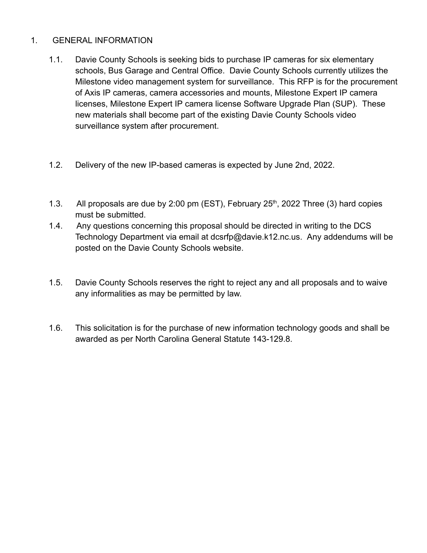#### 1. GENERAL INFORMATION

- 1.1. Davie County Schools is seeking bids to purchase IP cameras for six elementary schools, Bus Garage and Central Office. Davie County Schools currently utilizes the Milestone video management system for surveillance. This RFP is for the procurement of Axis IP cameras, camera accessories and mounts, Milestone Expert IP camera licenses, Milestone Expert IP camera license Software Upgrade Plan (SUP). These new materials shall become part of the existing Davie County Schools video surveillance system after procurement.
- 1.2. Delivery of the new IP-based cameras is expected by June 2nd, 2022.
- 1.3. All proposals are due by 2:00 pm (EST), February  $25<sup>th</sup>$ , 2022 Three (3) hard copies must be submitted.
- 1.4. Any questions concerning this proposal should be directed in writing to the DCS Technology Department via email at dcsrfp@davie.k12.nc.us. Any addendums will be posted on the Davie County Schools website.
- 1.5. Davie County Schools reserves the right to reject any and all proposals and to waive any informalities as may be permitted by law.
- 1.6. This solicitation is for the purchase of new information technology goods and shall be awarded as per North Carolina General Statute 143-129.8.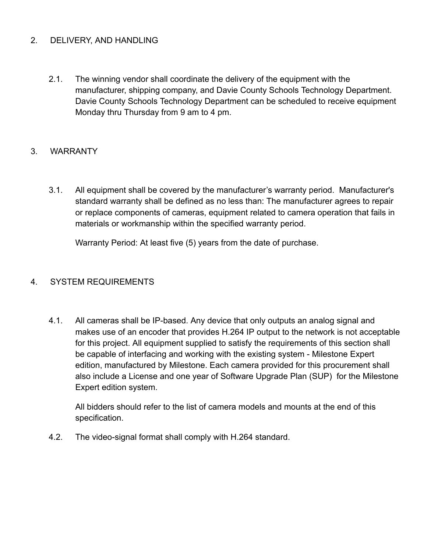#### 2. DELIVERY, AND HANDLING

2.1. The winning vendor shall coordinate the delivery of the equipment with the manufacturer, shipping company, and Davie County Schools Technology Department. Davie County Schools Technology Department can be scheduled to receive equipment Monday thru Thursday from 9 am to 4 pm.

#### 3. WARRANTY

3.1. All equipment shall be covered by the manufacturer's warranty period. Manufacturer's standard warranty shall be defined as no less than: The manufacturer agrees to repair or replace components of cameras, equipment related to camera operation that fails in materials or workmanship within the specified warranty period.

Warranty Period: At least five (5) years from the date of purchase.

#### 4. SYSTEM REQUIREMENTS

4.1. All cameras shall be IP-based. Any device that only outputs an analog signal and makes use of an encoder that provides H.264 IP output to the network is not acceptable for this project. All equipment supplied to satisfy the requirements of this section shall be capable of interfacing and working with the existing system - Milestone Expert edition, manufactured by Milestone. Each camera provided for this procurement shall also include a License and one year of Software Upgrade Plan (SUP) for the Milestone Expert edition system.

All bidders should refer to the list of camera models and mounts at the end of this specification.

4.2. The video-signal format shall comply with H.264 standard.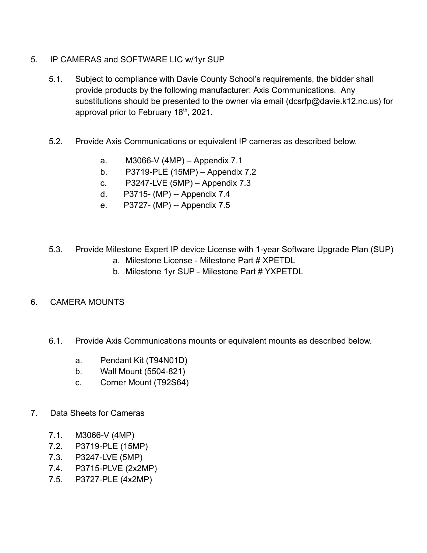- 5. IP CAMERAS and SOFTWARE LIC w/1yr SUP
	- 5.1. Subject to compliance with Davie County School's requirements, the bidder shall provide products by the following manufacturer: Axis Communications. Any substitutions should be presented to the owner via email (dcsrfp@davie.k12.nc.us) for approval prior to February  $18<sup>th</sup>$ , 2021.
	- 5.2. Provide Axis Communications or equivalent IP cameras as described below.
		- a. M3066-V (4MP) Appendix 7.1
		- b. P3719-PLE (15MP) Appendix 7.2
		- c. P3247-LVE (5MP) Appendix 7.3
		- d. P3715- (MP) -- Appendix 7.4
		- e. P3727- (MP) -- Appendix 7.5
	- 5.3. Provide Milestone Expert IP device License with 1-year Software Upgrade Plan (SUP)
		- a. Milestone License Milestone Part # XPETDL
		- b. Milestone 1yr SUP Milestone Part # YXPETDL

#### 6. CAMERA MOUNTS

- 6.1. Provide Axis Communications mounts or equivalent mounts as described below.
	- a. Pendant Kit (T94N01D)
	- b. Wall Mount (5504-821)
	- c. Corner Mount (T92S64)
- 7. Data Sheets for Cameras
	- 7.1. M3066-V (4MP)
	- 7.2. P3719-PLE (15MP)
	- 7.3. P3247-LVE (5MP)
	- 7.4. P3715-PLVE (2x2MP)
	- 7.5. P3727-PLE (4x2MP)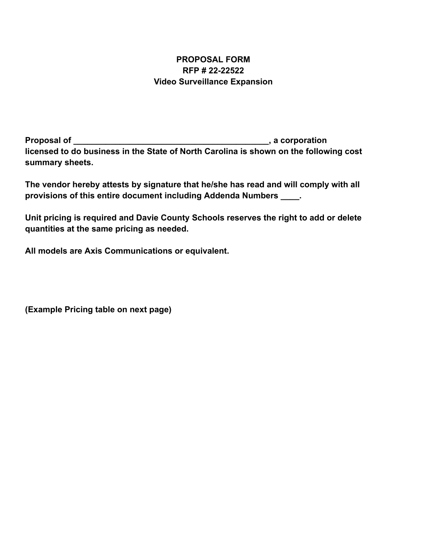#### **PROPOSAL FORM RFP # 22-22522 Video Surveillance Expansion**

**Proposal of \_\_\_\_\_\_\_\_\_\_\_\_\_\_\_\_\_\_\_\_\_\_\_\_\_\_\_\_\_\_\_\_\_\_\_\_\_\_\_\_\_\_, a corporation licensed to do business in the State of North Carolina is shown on the following cost summary sheets.**

**The vendor hereby attests by signature that he/she has read and will comply with all provisions of this entire document including Addenda Numbers \_\_\_\_.**

**Unit pricing is required and Davie County Schools reserves the right to add or delete quantities at the same pricing as needed.**

**All models are Axis Communications or equivalent.**

**(Example Pricing table on next page)**